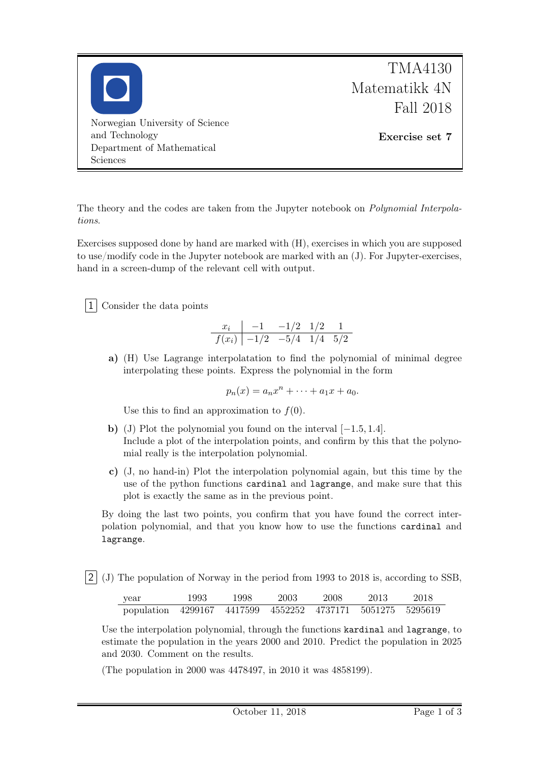

The theory and the codes are taken from the Jupyter notebook on Polynomial Interpolations.

Exercises supposed done by hand are marked with (H), exercises in which you are supposed to use/modify code in the Jupyter notebook are marked with an (J). For Jupyter-exercises, hand in a screen-dump of the relevant cell with output.

1 Consider the data points

$$
\begin{array}{c|cc}\nx_i & -1 & -1/2 & 1/2 & 1 \\
\hline\nf(x_i) & -1/2 & -5/4 & 1/4 & 5/2\n\end{array}
$$

a) (H) Use Lagrange interpolatation to find the polynomial of minimal degree interpolating these points. Express the polynomial in the form

$$
p_n(x) = a_n x^n + \dots + a_1 x + a_0.
$$

Use this to find an approximation to  $f(0)$ .

- b) (J) Plot the polynomial you found on the interval [−1.5, 1.4]. Include a plot of the interpolation points, and confirm by this that the polynomial really is the interpolation polynomial.
- c) (J, no hand-in) Plot the interpolation polynomial again, but this time by the use of the python functions cardinal and lagrange, and make sure that this plot is exactly the same as in the previous point.

By doing the last two points, you confirm that you have found the correct interpolation polynomial, and that you know how to use the functions cardinal and lagrange.

2 (J) The population of Norway in the period from 1993 to 2018 is, according to SSB,

| year                                                       | 1993 | 1998 | 2003 | -2008 | 2013 | -2018 |  |
|------------------------------------------------------------|------|------|------|-------|------|-------|--|
| population 4299167 4417599 4552252 4737171 5051275 5295619 |      |      |      |       |      |       |  |

Use the interpolation polynomial, through the functions kardinal and lagrange, to estimate the population in the years 2000 and 2010. Predict the population in 2025 and 2030. Comment on the results.

(The population in 2000 was 4478497, in 2010 it was 4858199).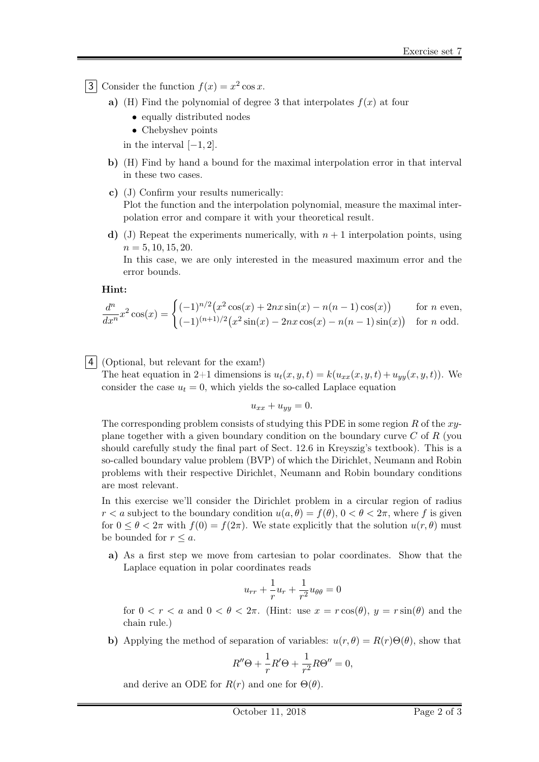3 Consider the function  $f(x) = x^2 \cos x$ .

- a) (H) Find the polynomial of degree 3 that interpolates  $f(x)$  at four
	- equally distributed nodes
	- Chebyshev points

in the interval  $[-1, 2]$ .

- b) (H) Find by hand a bound for the maximal interpolation error in that interval in these two cases.
- c) (J) Confirm your results numerically: Plot the function and the interpolation polynomial, measure the maximal interpolation error and compare it with your theoretical result.
- d) (J) Repeat the experiments numerically, with  $n + 1$  interpolation points, using  $n = 5, 10, 15, 20.$

In this case, we are only interested in the measured maximum error and the error bounds.

Hint:

$$
\frac{d^n}{dx^n}x^2\cos(x) = \begin{cases} (-1)^{n/2} \left( x^2 \cos(x) + 2nx \sin(x) - n(n-1) \cos(x) \right) & \text{for } n \text{ even,} \\ (-1)^{(n+1)/2} \left( x^2 \sin(x) - 2nx \cos(x) - n(n-1) \sin(x) \right) & \text{for } n \text{ odd.} \end{cases}
$$

4 (Optional, but relevant for the exam!)

The heat equation in 2+1 dimensions is  $u_t(x, y, t) = k(u_{xx}(x, y, t) + u_{yy}(x, y, t))$ . We consider the case  $u_t = 0$ , which yields the so-called Laplace equation

$$
u_{xx} + u_{yy} = 0.
$$

The corresponding problem consists of studying this PDE in some region R of the  $xy$ plane together with a given boundary condition on the boundary curve  $C$  of  $R$  (you should carefully study the final part of Sect. 12.6 in Kreyszig's textbook). This is a so-called boundary value problem (BVP) of which the Dirichlet, Neumann and Robin problems with their respective Dirichlet, Neumann and Robin boundary conditions are most relevant.

In this exercise we'll consider the Dirichlet problem in a circular region of radius  $r < a$  subject to the boundary condition  $u(a, \theta) = f(\theta)$ ,  $0 < \theta < 2\pi$ , where f is given for  $0 \le \theta \le 2\pi$  with  $f(0) = f(2\pi)$ . We state explicitly that the solution  $u(r, \theta)$  must be bounded for  $r \leq a$ .

a) As a first step we move from cartesian to polar coordinates. Show that the Laplace equation in polar coordinates reads

$$
u_{rr} + \frac{1}{r}u_r + \frac{1}{r^2}u_{\theta\theta} = 0
$$

for  $0 < r < a$  and  $0 < \theta < 2\pi$ . (Hint: use  $x = r \cos(\theta)$ ,  $y = r \sin(\theta)$  and the chain rule.)

b) Applying the method of separation of variables:  $u(r, \theta) = R(r) \Theta(\theta)$ , show that

$$
R''\Theta + \frac{1}{r}R'\Theta + \frac{1}{r^2}R\Theta'' = 0,
$$

and derive an ODE for  $R(r)$  and one for  $\Theta(\theta)$ .